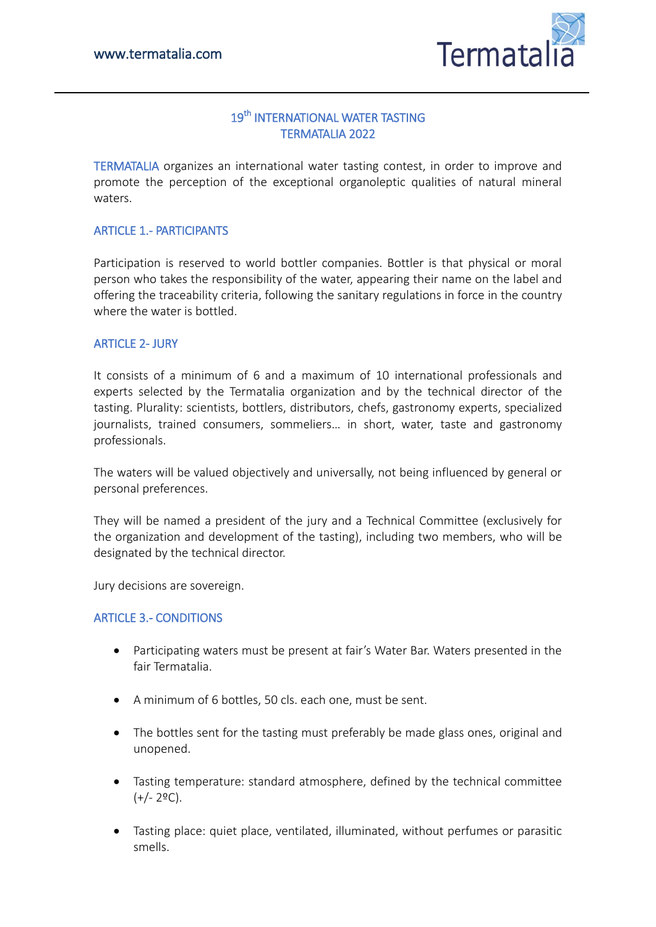

# 19<sup>th</sup> INTERNATIONAL WATER TASTING TERMATALIA 2022

TERMATALIA organizes an international water tasting contest, in order to improve and promote the perception of the exceptional organoleptic qualities of natural mineral waters.

# ARTICLE 1.- PARTICIPANTS

Participation is reserved to world bottler companies. Bottler is that physical or moral person who takes the responsibility of the water, appearing their name on the label and offering the traceability criteria, following the sanitary regulations in force in the country where the water is bottled.

# ARTICLE 2- JURY

It consists of a minimum of 6 and a maximum of 10 international professionals and experts selected by the Termatalia organization and by the technical director of the tasting. Plurality: scientists, bottlers, distributors, chefs, gastronomy experts, specialized journalists, trained consumers, sommeliers… in short, water, taste and gastronomy professionals.

The waters will be valued objectively and universally, not being influenced by general or personal preferences.

They will be named a president of the jury and a Technical Committee (exclusively for the organization and development of the tasting), including two members, who will be designated by the technical director.

Jury decisions are sovereign.

### ARTICLE 3.- CONDITIONS

- Participating waters must be present at fair's Water Bar. Waters presented in the fair Termatalia.
- A minimum of 6 bottles, 50 cls. each one, must be sent.
- The bottles sent for the tasting must preferably be made glass ones, original and unopened.
- Tasting temperature: standard atmosphere, defined by the technical committee  $(+/- 2$ <sup>o</sup>C).
- Tasting place: quiet place, ventilated, illuminated, without perfumes or parasitic smells.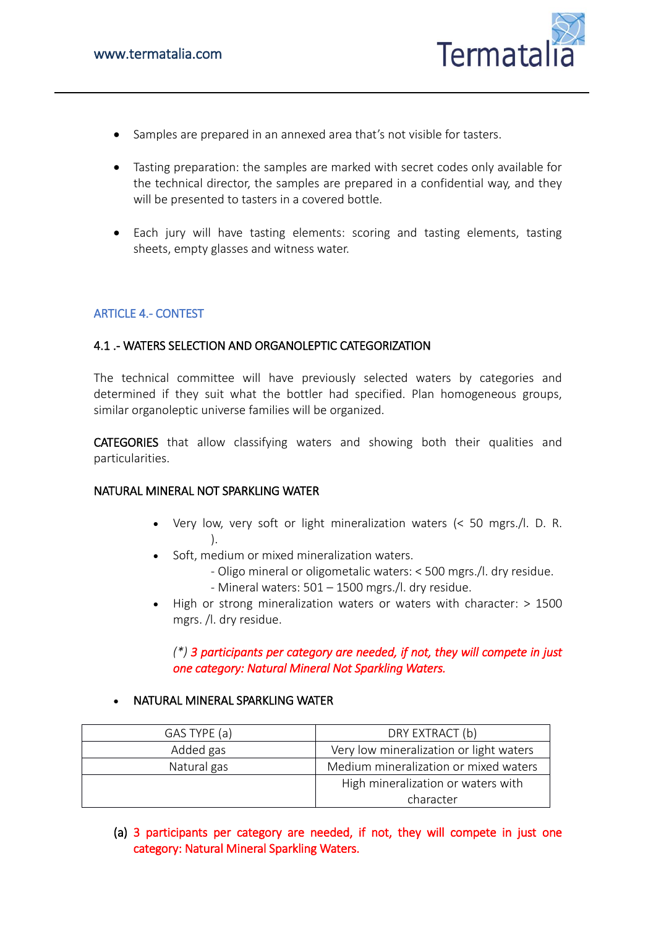

- Samples are prepared in an annexed area that's not visible for tasters.
- Tasting preparation: the samples are marked with secret codes only available for the technical director, the samples are prepared in a confidential way, and they will be presented to tasters in a covered bottle.
- Each jury will have tasting elements: scoring and tasting elements, tasting sheets, empty glasses and witness water.

# ARTICLE 4.- CONTEST

# 4.1 .- WATERS SELECTION AND ORGANOLEPTIC CATEGORIZATION

The technical committee will have previously selected waters by categories and determined if they suit what the bottler had specified. Plan homogeneous groups, similar organoleptic universe families will be organized.

CATEGORIES that allow classifying waters and showing both their qualities and particularities.

#### NATURAL MINERAL NOT SPARKLING WATER

- Very low, very soft or light mineralization waters (< 50 mgrs./l. D. R. ).
- Soft, medium or mixed mineralization waters.
	- Oligo mineral or oligometalic waters: < 500 mgrs./l. dry residue.
	- Mineral waters: 501 1500 mgrs./l. dry residue.
- High or strong mineralization waters or waters with character: > 1500 mgrs. /l. dry residue.

# *(\*) 3 participants per category are needed, if not, they will compete in just one category: Natural Mineral Not Sparkling Waters.*

#### NATURAL MINERAL SPARKLING WATER

| GAS TYPE (a) | DRY EXTRACT (b)                         |
|--------------|-----------------------------------------|
| Added gas    | Very low mineralization or light waters |
| Natural gas  | Medium mineralization or mixed waters   |
|              | High mineralization or waters with      |
|              | character                               |

(a) 3 participants per category are needed, if not, they will compete in just one category: Natural Mineral Sparkling Waters.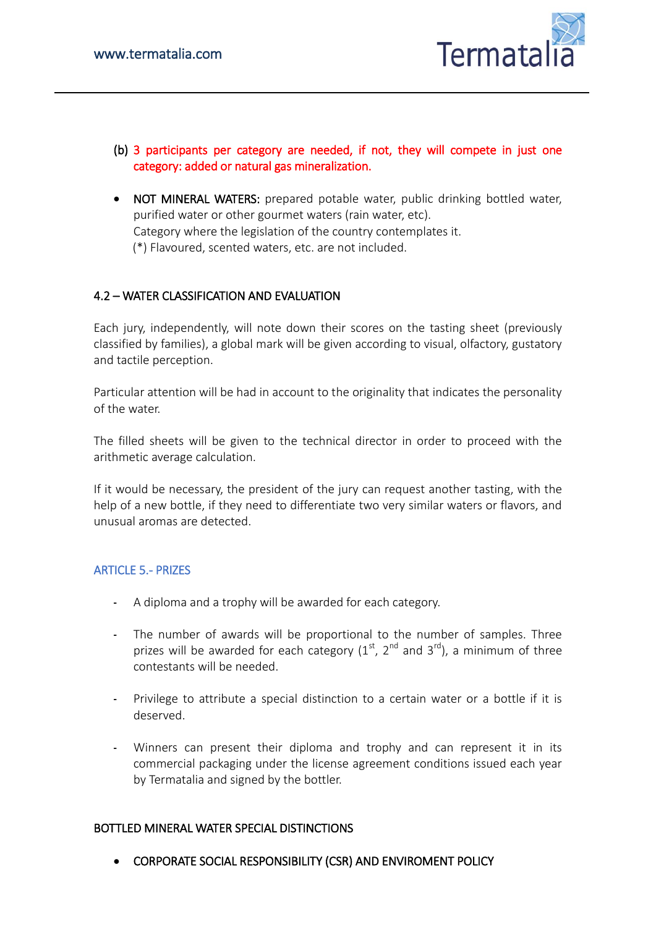

- (b) 3 participants per category are needed, if not, they will compete in just one category: added or natural gas mineralization.
- NOT MINERAL WATERS: prepared potable water, public drinking bottled water, purified water or other gourmet waters (rain water, etc). Category where the legislation of the country contemplates it. (\*) Flavoured, scented waters, etc. are not included.

# 4.2 – WATER CLASSIFICATION AND EVALUATION

Each jury, independently, will note down their scores on the tasting sheet (previously classified by families), a global mark will be given according to visual, olfactory, gustatory and tactile perception.

Particular attention will be had in account to the originality that indicates the personality of the water.

The filled sheets will be given to the technical director in order to proceed with the arithmetic average calculation.

If it would be necessary, the president of the jury can request another tasting, with the help of a new bottle, if they need to differentiate two very similar waters or flavors, and unusual aromas are detected.

### ARTICLE 5.- PRIZES

- A diploma and a trophy will be awarded for each category.
- The number of awards will be proportional to the number of samples. Three prizes will be awarded for each category  $(1<sup>st</sup>, 2<sup>nd</sup>$  and  $3<sup>rd</sup>)$ , a minimum of three contestants will be needed.
- Privilege to attribute a special distinction to a certain water or a bottle if it is deserved.
- Winners can present their diploma and trophy and can represent it in its commercial packaging under the license agreement conditions issued each year by Termatalia and signed by the bottler.

### BOTTLED MINERAL WATER SPECIAL DISTINCTIONS

CORPORATE SOCIAL RESPONSIBILITY (CSR) AND ENVIROMENT POLICY